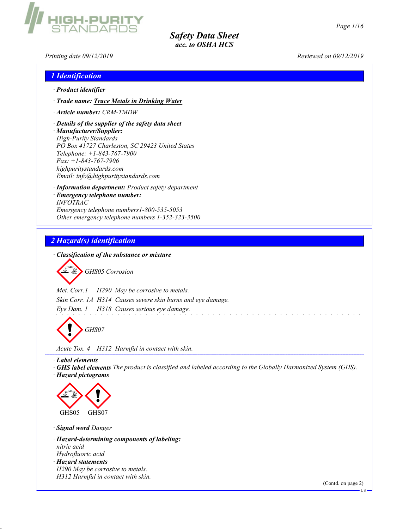Printing date  $09/12/2019$  Reviewed on  $09/12/2019$ 

**H-PURI** 

| <i><b>1</b></i> Identification                                                                                                                                                                                                                                                                      |  |
|-----------------------------------------------------------------------------------------------------------------------------------------------------------------------------------------------------------------------------------------------------------------------------------------------------|--|
| $\cdot$ Product identifier                                                                                                                                                                                                                                                                          |  |
| · Trade name: Trace Metals in Drinking Water                                                                                                                                                                                                                                                        |  |
| Article number: CRM-TMDW                                                                                                                                                                                                                                                                            |  |
| $\cdot$ Details of the supplier of the safety data sheet<br>· Manufacturer/Supplier:<br><b>High-Purity Standards</b><br>PO Box 41727 Charleston, SC 29423 United States<br>Telephone: $+1-843-767-7900$<br>$Fax: +1-843-767-7906$<br>highpuritystandards.com<br>Email: info@highpuritystandards.com |  |
| · <b>Information department:</b> Product safety department<br>· Emergency telephone number:<br><b>INFOTRAC</b><br>Emergency telephone numbers1-800-535-5053<br>Other emergency telephone numbers 1-352-323-3500                                                                                     |  |

### 2 Hazard(s) identification

· Classification of the substance or mixture

GHS05 Corrosion

Met. Corr.1 H290 May be corrosive to metals. Skin Corr. 1A H314 Causes severe skin burns and eye damage. Eye Dam. 1 H318 Causes serious eye damage.

GHS07

Acute Tox. 4 H312 Harmful in contact with skin.

· Label elements

· GHS label elements The product is classified and labeled according to the Globally Harmonized System (GHS). · Hazard pictograms



· Signal word Danger

· Hazard-determining components of labeling: nitric acid Hydrofluoric acid · Hazard statements H290 May be corrosive to metals. H312 Harmful in contact with skin.

(Contd. on page 2)

US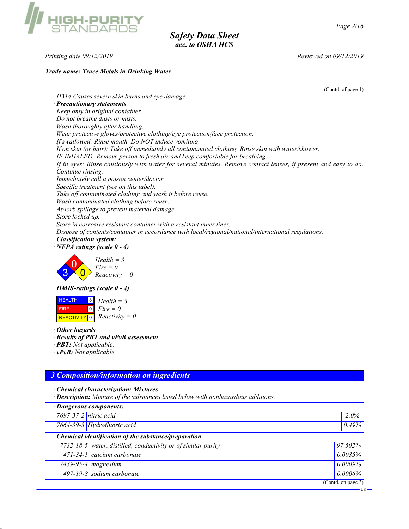US

Safety Data Sheet acc. to OSHA HCS

Printing date 09/12/2019 Reviewed on 09/12/2019

#### Trade name: Trace Metals in Drinking Water

(Contd. of page 1) H314 Causes severe skin burns and eye damage. · Precautionary statements Keep only in original container. Do not breathe dusts or mists. Wash thoroughly after handling. Wear protective gloves/protective clothing/eye protection/face protection. If swallowed: Rinse mouth. Do NOT induce vomiting. If on skin (or hair): Take off immediately all contaminated clothing. Rinse skin with water/shower. IF INHALED: Remove person to fresh air and keep comfortable for breathing. If in eyes: Rinse cautiously with water for several minutes. Remove contact lenses, if present and easy to do. Continue rinsing. Immediately call a poison center/doctor. Specific treatment (see on this label). Take off contaminated clothing and wash it before reuse. Wash contaminated clothing before reuse. Absorb spillage to prevent material damage. Store locked up. Store in corrosive resistant container with a resistant inner liner. Dispose of contents/container in accordance with local/regional/national/international regulations. · Classification system:  $\cdot$  NFPA ratings (scale 0 - 4) 3 0  $\overline{\mathbf{0}}$  $Health = 3$  $Fire = 0$  $Reactivity = 0$ · HMIS-ratings (scale 0 - 4) **HEALTH**  FIRE **REACTIVITY** 0  $\vert 3 \vert$  $\boxed{0}$  $Health = 3$  $Fire = 0$  $Reactivity = 0$ · Other hazards · Results of PBT and vPvB assessment · PBT: Not applicable.  $\cdot$  vPvB: Not applicable.

# 3 Composition/information on ingredients

· Chemical characterization: Mixtures

· Description: Mixture of the substances listed below with nonhazardous additions.

| · Dangerous components: |                                                                     |                                        |  |  |
|-------------------------|---------------------------------------------------------------------|----------------------------------------|--|--|
| 7697-37-2 nitric acid   |                                                                     | $2.0\%$                                |  |  |
|                         | 7664-39-3 Hydrofluoric acid                                         | 0.49%                                  |  |  |
|                         | $\cdot$ Chemical identification of the substance/preparation        |                                        |  |  |
|                         | $7732 - 18 - 5$ water, distilled, conductivity or of similar purity | 97.502%                                |  |  |
|                         | 471-34-1 calcium carbonate                                          | 0.0035%                                |  |  |
|                         | 7439-95-4 magnesium                                                 | $0.0009\%$                             |  |  |
|                         | 497-19-8 sodium carbonate                                           | $0.0006\%$                             |  |  |
|                         |                                                                     | $\overline{\text{(Contd. on page 3)}}$ |  |  |

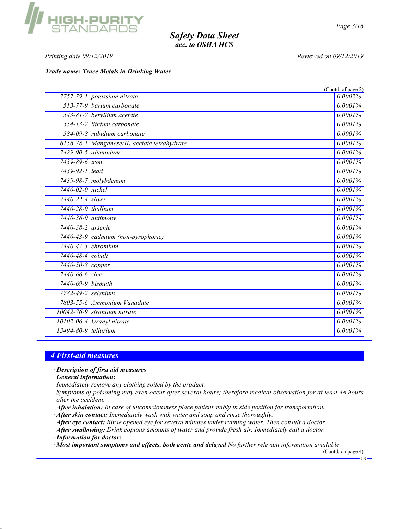Printing date  $09/12/2019$  Reviewed on  $09/12/2019$ 

**GH-PURI<br>TANDARE** 

Trade name: Trace Metals in Drinking Water

|                          |                                              | (Contd. of page 2) |
|--------------------------|----------------------------------------------|--------------------|
|                          | 7757-79-1 potassium nitrate                  | 0.0002%            |
|                          | 513-77-9 barium carbonate                    | 0.0001%            |
|                          | 543-81-7 beryllium acetate                   | 0.0001%            |
|                          | 554-13-2 lithium carbonate                   | 0.0001%            |
|                          | 584-09-8 rubidium carbonate                  | 0.0001%            |
|                          | 6156-78-1 Manganese(II) acetate tetrahydrate | 0.0001%            |
|                          | $7429-90-5$ aluminium                        | 0.0001%            |
| 7439-89-6 iron           |                                              | 0.0001%            |
| 7439-92-1 lead           |                                              | 0.0001%            |
|                          | 7439-98-7 molybdenum                         | 0.0001%            |
| 7440-02-0 nickel         |                                              | 0.0001%            |
| 7440-22-4 silver         |                                              | 0.0001%            |
| 7440-28-0 thallium       |                                              | 0.0001%            |
| $7440 - 36 - 0$ antimony |                                              | 0.0001%            |
| 7440-38-2 arsenic        |                                              | 0.0001%            |
|                          | 7440-43-9 cadmium (non-pyrophoric)           | 0.0001%            |
|                          | 7440-47-3 chromium                           | 0.0001%            |
| 7440-48-4 cobalt         |                                              | 0.0001%            |
| 7440-50-8 copper         |                                              | 0.0001%            |
| 7440-66-6 zinc           |                                              | 0.0001%            |
| 7440-69-9 bismuth        |                                              | 0.0001%            |
| 7782-49-2 selenium       |                                              | 0.0001%            |
|                          | 7803-55-6 Ammonium Vanadate                  | 0.0001%            |
|                          | $10042 - 76 - 9$ strontium nitrate           | 0.0001%            |
|                          | 10102-06-4 Uranyl nitrate                    | 0.0001%            |
| 13494-80-9 tellurium     |                                              | $0.0001\%$         |

#### 4 First-aid measures

· Description of first aid measures

· General information:

Immediately remove any clothing soiled by the product.

Symptoms of poisoning may even occur after several hours; therefore medical observation for at least 48 hours after the accident.

- · After inhalation: In case of unconsciousness place patient stably in side position for transportation.
- · After skin contact: Immediately wash with water and soap and rinse thoroughly.

· After eye contact: Rinse opened eye for several minutes under running water. Then consult a doctor.

· After swallowing: Drink copious amounts of water and provide fresh air. Immediately call a doctor.

· Information for doctor:

· Most important symptoms and effects, both acute and delayed No further relevant information available.

(Contd. on page 4) US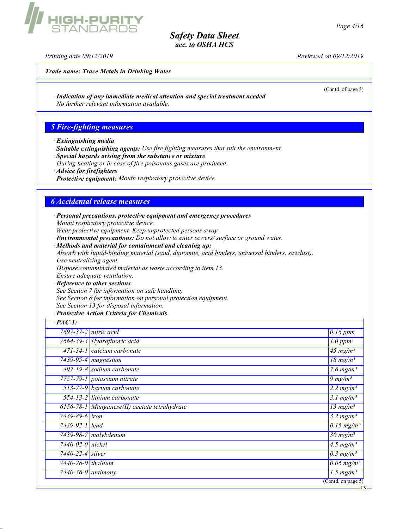Printing date 09/12/2019 Reviewed on 09/12/2019

IIGH-PURIT<br>STANDABD!

Trade name: Trace Metals in Drinking Water

(Contd. of page 3)

· Indication of any immediate medical attention and special treatment needed No further relevant information available.

#### 5 Fire-fighting measures

- · Extinguishing media
- · Suitable extinguishing agents: Use fire fighting measures that suit the environment.
- · Special hazards arising from the substance or mixture
- During heating or in case of fire poisonous gases are produced.
- · Advice for firefighters
- · Protective equipment: Mouth respiratory protective device.

#### 6 Accidental release measures

· Personal precautions, protective equipment and emergency procedures Mount respiratory protective device. Wear protective equipment. Keep unprotected persons away.

- · Environmental precautions: Do not allow to enter sewers/ surface or ground water.
- · Methods and material for containment and cleaning up: Absorb with liquid-binding material (sand, diatomite, acid binders, universal binders, sawdust). Use neutralizing agent. Dispose contaminated material as waste according to item 13.

Ensure adequate ventilation.

· Reference to other sections

See Section 7 for information on safe handling.

See Section 8 for information on personal protection equipment.

See Section 13 for disposal information.

#### · Protective Action Criteria for Chemicals

| $\cdot$ PAC-1:           |                                                |                                        |
|--------------------------|------------------------------------------------|----------------------------------------|
|                          | $7697 - 37 - 2$ nitric acid                    | $0.16$ ppm                             |
|                          | 7664-39-3 Hydrofluoric acid                    | $1.0$ ppm                              |
|                          | 471-34-1 calcium carbonate                     | $\frac{45}{3}$ mg/m <sup>3</sup>       |
|                          | $\sqrt{7439-95}$ -4   magnesium                | $\sqrt{18} \text{ mg/m}^3$             |
|                          | 497-19-8 sodium carbonate                      | $\sqrt{7.6}$ mg/m <sup>3</sup>         |
|                          | 7757-79-1 potassium nitrate                    | 9 $mg/m^3$                             |
|                          | 513-77-9 barium carbonate                      | 2.2 $mg/m^3$                           |
|                          | 554-13-2 lithium carbonate                     | $3.1$ mg/m <sup>3</sup>                |
|                          | $6156-78-1$ Manganese(II) acetate tetrahydrate | $\overline{13}$ mg/m <sup>3</sup>      |
| 7439-89-6 <i>iron</i>    |                                                | $3.2 \,\mathrm{mg/m^3}$                |
| 7439-92-1 lead           |                                                | $\overline{0.15 \text{ mg}}/m^3$       |
|                          | $7439-98-7$ molybdenum                         | $\frac{30 \text{ mg}}{m}$              |
| 7440-02-0 nickel         |                                                | $\overline{4.5}$ mg/m <sup>3</sup>     |
| 7440-22-4 silver         |                                                | $0.3$ mg/m <sup>3</sup>                |
| $7440 - 28 - 0$ thallium |                                                | $\overline{0.06 \text{ mg}}/m^3$       |
| 7440-36-0 antimony       |                                                | 1.5 $mg/m^3$                           |
|                          |                                                | $\overline{\text{(Contd. on page 5)}}$ |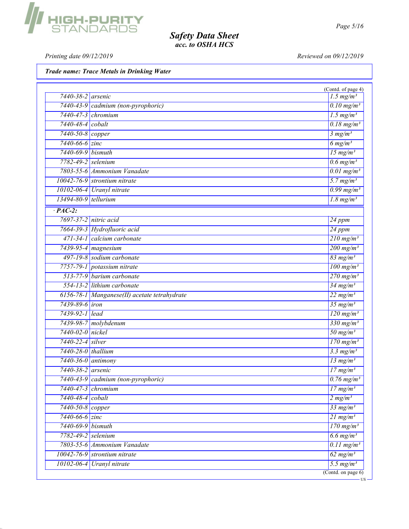Printing date 09/12/2019 Reviewed on 09/12/2019

Trade name: Trace Metals in Drinking Water

| 7440-38-2 arsenic               |                                              | $1.5$ mg/m <sup>3</sup>                         |
|---------------------------------|----------------------------------------------|-------------------------------------------------|
|                                 | 7440-43-9 cadmium (non-pyrophoric)           | $\overline{0.10 \text{ mg/m}^3}$                |
| $7440 - 47 - 3$ chromium        |                                              | $1.5$ mg/m <sup>3</sup>                         |
| 7440-48-4 cobalt                |                                              | $\overline{0.18 \text{ mg/m}^3}$                |
| 7440-50-8 copper                |                                              | 3 mg/m <sup>3</sup>                             |
| 7440-66-6 zinc                  |                                              | $6$ mg/m <sup>3</sup>                           |
| 7440-69-9 bismuth               |                                              | $15$ mg/m <sup>3</sup>                          |
| 7782-49-2<br>selenium           |                                              | $0.6$ mg/m <sup>3</sup>                         |
|                                 | 7803-55-6 Ammonium Vanadate                  | $\overline{0.01 \text{ mg/m}^3}$                |
| 10042-76-9 strontium nitrate    |                                              | $5.7$ mg/m <sup>3</sup>                         |
| $10102 - 06 - 4$                | Uranyl nitrate                               | $0.99$ mg/m <sup>3</sup>                        |
| 13494-80-9 tellurium            |                                              | $\frac{1.8 \text{ mg/m}^3}{1.8 \text{ mg/m}^3}$ |
| $\cdot$ PAC-2:                  |                                              |                                                 |
| 7697-37-2 nitric acid           |                                              | 24 ppm                                          |
| 7664-39-3 Hydrofluoric acid     |                                              | 24 ppm                                          |
| 471-34-1 calcium carbonate      |                                              | $210$ mg/m <sup>3</sup>                         |
| 7439-95-4 magnesium             |                                              | $\frac{200 \text{ mg/m}^3}{200 \text{ mg/m}^3}$ |
| 497-19-8 sodium carbonate       |                                              | $83$ mg/m <sup>3</sup>                          |
| 7757-79-1 potassium nitrate     |                                              | $\overline{100 \text{ mg/m}^3}$                 |
| 513-77-9 barium carbonate       |                                              | $270$ mg/m <sup>3</sup>                         |
| 554-13-2 lithium carbonate      |                                              | $34$ mg/m <sup>3</sup>                          |
|                                 | 6156-78-1 Manganese(II) acetate tetrahydrate | $22$ mg/m <sup>3</sup>                          |
| 7439-89-6 <i>iron</i>           |                                              | $35$ mg/m <sup>3</sup>                          |
| 7439-92-1 lead                  |                                              | $\frac{120 \text{ mg/m}^3}{2}$                  |
| 7439-98-7 molybdenum            |                                              | $\frac{330 \text{ mg/m}^3}{ }$                  |
| 7440-02-0 nickel                |                                              | $50$ mg/m <sup>3</sup>                          |
| 7440-22-4 silver                |                                              | $\frac{170 \text{ mg/m}^3}{250 \text{ mg/m}^3}$ |
| 7440-28-0 thallium              |                                              | $3.3$ mg/m <sup>3</sup>                         |
| $\overline{7440-36-0}$ antimony |                                              | $13$ mg/m <sup>3</sup>                          |
| 7440-38-2 arsenic               |                                              | $17$ mg/m <sup>3</sup>                          |
|                                 | 7440-43-9 cadmium (non-pyrophoric)           | $0.76$ mg/m <sup>3</sup>                        |
| $7440 - 47 - 3$ chromium        |                                              | $17 \frac{mg}{m^3}$                             |
| 7440-48-4 cobalt                |                                              | 2 mg/m <sup>3</sup>                             |
| 7440-50-8 copper                |                                              | $33$ mg/m <sup>3</sup>                          |
| 7440-66-6 zinc                  |                                              | $21$ mg/m <sup>3</sup>                          |
| 7440-69-9 bismuth               |                                              | $170$ mg/m <sup>3</sup>                         |
| 7782-49-2 selenium              |                                              | $6.6$ mg/m <sup>3</sup>                         |
|                                 | 7803-55-6 Ammonium Vanadate                  | $0.11$ mg/m <sup>3</sup>                        |
| 10042-76-9 strontium nitrate    |                                              | $62$ mg/m <sup>3</sup>                          |
| 10102-06-4 Uranyl nitrate       |                                              | $5.5$ mg/m <sup>3</sup>                         |

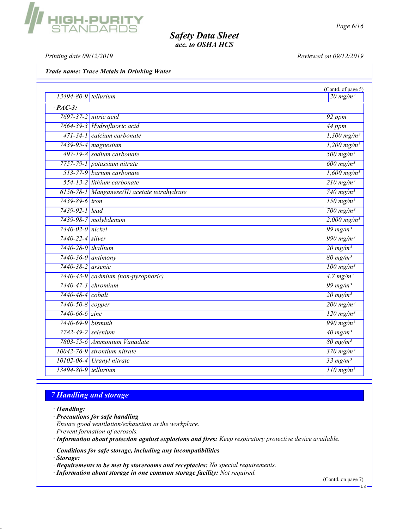# **HIGH-PURITY**<br>STANDARDS

# Safety Data Sheet acc. to OSHA HCS

Printing date  $09/12/2019$  Reviewed on  $09/12/2019$ 

Trade name: Trace Metals in Drinking Water

|                                              | (Contd. of page 5)                               |
|----------------------------------------------|--------------------------------------------------|
| $13494 - 80 - 9$ tellurium                   | $\frac{20 \text{ mg}}{m^3}$                      |
| $\overline{PAC-3}$ :                         |                                                  |
| 7697-37-2 nitric acid                        | 92 ppm                                           |
| 7664-39-3 Hydrofluoric acid                  | 44 ppm                                           |
| 471-34-1 calcium carbonate                   | $1,300$ mg/m <sup>3</sup>                        |
| 7439-95-4 magnesium                          | $1,200$ mg/m <sup>3</sup>                        |
| 497-19-8 sodium carbonate                    | $\frac{500 \text{ mg/m}^3}{2500 \text{ mg/m}^3}$ |
| 7757-79-1 potassium nitrate                  | $\overline{600 \text{ mg/m}^3}$                  |
| 513-77-9 barium carbonate                    | $1,600$ mg/m <sup>3</sup>                        |
| 554-13-2 lithium carbonate                   | $210$ mg/m <sup>3</sup>                          |
| 6156-78-1 Manganese(II) acetate tetrahydrate | 740 mg/m <sup>3</sup>                            |
| 7439-89-6 <i>iron</i>                        | $150$ mg/m <sup>3</sup>                          |
| 7439-92-1 lead                               | $\frac{700 \text{ mg/m}^3}{ }$                   |
| 7439-98-7 molybdenum                         | $2,000 \text{ mg/m}^3$                           |
| 7440-02-0 nickel                             | 99 mg/m $3$                                      |
| 7440-22-4 silver                             | $\frac{990 \text{ mg/m}^3}{990 \text{ mg/m}^3}$  |
| 7440-28-0 thallium                           | $20 \frac{mg}{m^3}$                              |
| $7440 - 36 - 0$ antimony                     | $80$ mg/m <sup>3</sup>                           |
| 7440-38-2 arsenic                            | $\frac{100 \text{ mg/m}^3}{$                     |
| 7440-43-9 cadmium (non-pyrophoric)           | $4.7$ mg/m <sup>3</sup>                          |
| $7440 - 47 - 3$ chromium                     | $\frac{99 \text{ mg/m}^3}{2}$                    |
| 7440-48-4 cobalt                             | $20$ mg/m <sup>3</sup>                           |
| 7440-50-8 copper                             | $200$ mg/m <sup>3</sup>                          |
| $7440 - 66 - 6$ zinc                         | $\frac{120 \text{ mg/m}^3}{2}$                   |
| 7440-69-9 bismuth                            | 990 mg/m <sup>3</sup>                            |
| 7782-49-2 selenium                           | $\frac{40 \text{ mg/m}^3}{ }$                    |
| 7803-55-6 Ammonium Vanadate                  | $80$ mg/m <sup>3</sup>                           |
| 10042-76-9 strontium nitrate                 | $\frac{370 \text{ mg/m}^3}{250 \text{ mg/m}^3}$  |
| 10102-06-4 Uranyl nitrate                    | $33$ mg/m <sup>3</sup>                           |
| 13494-80-9 tellurium                         | $110$ mg/m <sup>3</sup>                          |

# 7 Handling and storage

· Handling:

· Precautions for safe handling Ensure good ventilation/exhaustion at the workplace. Prevent formation of aerosols.

· Information about protection against explosions and fires: Keep respiratory protective device available.

· Conditions for safe storage, including any incompatibilities

· Storage:

· Requirements to be met by storerooms and receptacles: No special requirements.

· Information about storage in one common storage facility: Not required.

(Contd. on page 7)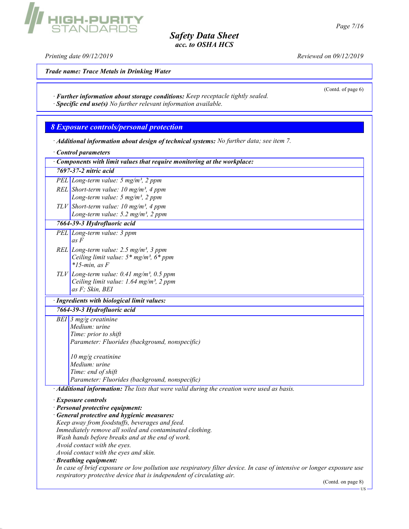Printing date 09/12/2019 Reviewed on 09/12/2019

Trade name: Trace Metals in Drinking Water

GH-PURITY<br>Tandards

(Contd. of page 6)

· Further information about storage conditions: Keep receptacle tightly sealed. · Specific end use(s) No further relevant information available.

8 Exposure controls/personal protection

· Additional information about design of technical systems: No further data; see item 7.

· Control parameters

|                       | Components with limit values that require monitoring at the workplace:                                                |  |  |
|-----------------------|-----------------------------------------------------------------------------------------------------------------------|--|--|
| 7697-37-2 nitric acid |                                                                                                                       |  |  |
|                       | PEL Long-term value: $5 \text{ mg/m}^3$ , $2 \text{ ppm}$                                                             |  |  |
|                       | REL Short-term value: $10 \text{ mg/m}^3$ , 4 ppm                                                                     |  |  |
|                       | Long-term value: $5 \text{ mg/m}^3$ , $2 \text{ ppm}$                                                                 |  |  |
|                       | TLV Short-term value: 10 mg/m <sup>3</sup> , 4 ppm                                                                    |  |  |
|                       | Long-term value: 5.2 mg/m <sup>3</sup> , 2 ppm                                                                        |  |  |
|                       | 7664-39-3 Hydrofluoric acid                                                                                           |  |  |
|                       | PEL Long-term value: 3 ppm<br>as F                                                                                    |  |  |
|                       | REL Long-term value: 2.5 mg/m <sup>3</sup> , 3 ppm                                                                    |  |  |
|                       | Ceiling limit value: $5*$ mg/m <sup>3</sup> , $6*$ ppm                                                                |  |  |
|                       | $*15$ -min. as F                                                                                                      |  |  |
|                       | $TLV$ Long-term value: 0.41 mg/m <sup>3</sup> , 0.5 ppm<br>Ceiling limit value: 1.64 mg/m <sup>3</sup> , 2 ppm        |  |  |
|                       | as F; Skin, BEI                                                                                                       |  |  |
|                       | · Ingredients with biological limit values:                                                                           |  |  |
|                       | 7664-39-3 Hydrofluoric acid                                                                                           |  |  |
|                       | BEI $\frac{3 \text{ mg}}{g}$ creatinine                                                                               |  |  |
|                       | Medium: urine                                                                                                         |  |  |
|                       | Time: prior to shift                                                                                                  |  |  |
|                       | Parameter: Fluorides (background, nonspecific)                                                                        |  |  |
|                       | $10$ mg/g creatinine                                                                                                  |  |  |
|                       | Medium: urine                                                                                                         |  |  |
|                       | Time: end of shift                                                                                                    |  |  |
|                       | Parameter: Fluorides (background, nonspecific)                                                                        |  |  |
|                       | · Additional information: The lists that were valid during the creation were used as basis.                           |  |  |
|                       | · Exposure controls                                                                                                   |  |  |
|                       | · Personal protective equipment:                                                                                      |  |  |
|                       | · General protective and hygienic measures:                                                                           |  |  |
|                       | Keep away from foodstuffs, beverages and feed.                                                                        |  |  |
|                       | Immediately remove all soiled and contaminated clothing.                                                              |  |  |
|                       | Wash hands before breaks and at the end of work.                                                                      |  |  |
|                       | Avoid contact with the eyes.                                                                                          |  |  |
|                       | Avoid contact with the eyes and skin.<br>· Breathing equipment:                                                       |  |  |
|                       | In case of brief exposure or low pollution use respiratory filter device. In case of intensive or longer exposure use |  |  |
|                       | respiratory protective device that is independent of circulating air.                                                 |  |  |
|                       | (Contd. on page 8)                                                                                                    |  |  |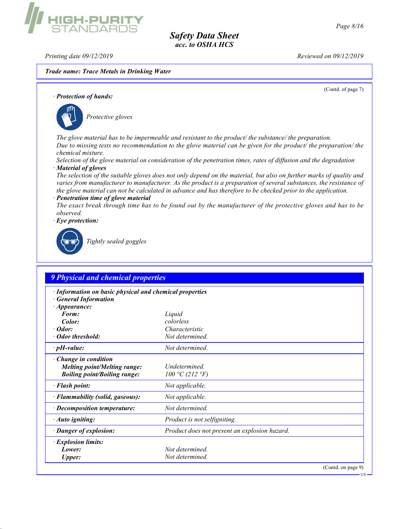Printing date 09/12/2019 **Reviewed on 09/12/2019** 

**IIGH-PURIT**<br>STANDARDS

Trade name: Trace Metals in Drinking Water

(Contd. of page 7) · Protection of hands: Protective gloves The glove material has to be impermeable and resistant to the product/ the substance/ the preparation. Due to missing tests no recommendation to the glove material can be given for the product/ the preparation/ the chemical mixture. Selection of the glove material on consideration of the penetration times, rates of diffusion and the degradation · Material of gloves The selection of the suitable gloves does not only depend on the material, but also on further marks of quality and varies from manufacturer to manufacturer. As the product is a preparation of several substances, the resistance of the glove material can not be calculated in advance and has therefore to be checked prior to the application. Penetration time of glove material The exact break through time has to be found out by the manufacturer of the protective gloves and has to be observed. Eye protection: Tightly sealed goggles 9 Physical and chemical properties Information on basic physical and chemical properties **General Information** · Appearance: Form: Liquid Color: colorless · Odor: Characteristic · Odor threshold: Not determined.  $\cdot$  pH-value:  $N$ ot determined. Change in condition **Melting point/Melting range:** Undetermined.<br>**Boiling point/Boiling range:**  $100 \degree \text{C}$  (212  $\degree \text{F}$ ) Boiling point/Boiling range: · **Flash point:** Not applicable. · Flammability (solid, gaseous): Not applicable. · Decomposition temperature: Not determined. · **Auto igniting:** Product is not selfigniting. · Danger of explosion: Product does not present an explosion hazard. · Explosion limits: **Lower:** Not determined. Upper: Not determined. (Contd. on page 9)

US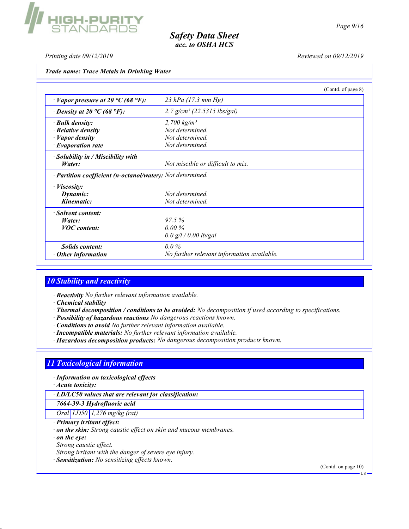Printing date 09/12/2019 Reviewed on 09/12/2019

**HIGH-PURITY**<br>STANDARDS

Trade name: Trace Metals in Drinking Water

|                                                            | (Contd. of page 8)                         |  |
|------------------------------------------------------------|--------------------------------------------|--|
| $\cdot$ Vapor pressure at 20 °C (68 °F):                   | 23 hPa $(17.3 \text{ mm Hg})$              |  |
| $\cdot$ Density at 20 °C (68 °F):                          | $2.7 g/cm3$ (22.5315 lbs/gal)              |  |
| · Bulk density:                                            | 2,700 $kg/m^3$                             |  |
| $\cdot$ Relative density                                   | Not determined.                            |  |
| $\cdot$ <i>Vapor density</i>                               | Not determined.                            |  |
| $\cdot$ Evaporation rate                                   | Not determined.                            |  |
| $\cdot$ Solubility in / Miscibility with                   |                                            |  |
| Water:                                                     | Not miscible or difficult to mix.          |  |
| · Partition coefficient (n-octanol/water): Not determined. |                                            |  |
| $\cdot$ <i>Viscosity:</i>                                  |                                            |  |
| Dynamic:                                                   | Not determined                             |  |
| Kinematic:                                                 | Not determined.                            |  |
| · Solvent content:                                         |                                            |  |
| Water:                                                     | 97.5%                                      |  |
| <b>VOC</b> content:                                        | $0.00\%$                                   |  |
|                                                            | 0.0 g/l / 0.00 lb/gal                      |  |
| <i>Solids content:</i>                                     | $0.0\%$                                    |  |
| $\cdot$ Other information                                  | No further relevant information available. |  |

#### 10 Stability and reactivity

- · Reactivity No further relevant information available.
- · Chemical stability
- · Thermal decomposition / conditions to be avoided: No decomposition if used according to specifications.
- · Possibility of hazardous reactions No dangerous reactions known.
- · Conditions to avoid No further relevant information available.
- · Incompatible materials: No further relevant information available.
- · Hazardous decomposition products: No dangerous decomposition products known.

## 11 Toxicological information

· Information on toxicological effects

· Acute toxicity:

· LD/LC50 values that are relevant for classification:

7664-39-3 Hydrofluoric acid

Oral LD50 1,276 mg/kg (rat)

· Primary irritant effect:

· on the skin: Strong caustic effect on skin and mucous membranes.

· on the eye:

Strong caustic effect.

Strong irritant with the danger of severe eye injury.

· Sensitization: No sensitizing effects known.

(Contd. on page 10)

US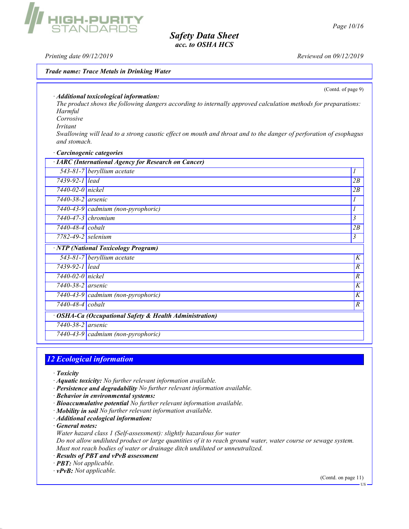Printing date 09/12/2019 Reviewed on 09/12/2019

**IIGH-PURIT**<br>STANDARDS

#### Trade name: Trace Metals in Drinking Water

(Contd. of page 9)

· Additional toxicological information:

The product shows the following dangers according to internally approved calculation methods for preparations: Harmful

Corrosive

Irritant

Swallowing will lead to a strong caustic effect on mouth and throat and to the danger of perforation of esophagus and stomach.

#### · Carcinogenic categories

|                          | · IARC (International Agency for Research on Cancer)    |                |
|--------------------------|---------------------------------------------------------|----------------|
|                          | 543-81-7 beryllium acetate                              |                |
| 7439-92-1 lead           |                                                         | 2B             |
| 7440-02-0 nickel         |                                                         | 2B             |
| 7440-38-2 arsenic        |                                                         |                |
|                          | 7440-43-9 cadmium (non-pyrophoric)                      |                |
| $7440 - 47 - 3$ chromium |                                                         | 3              |
| $7440 - 48 - 4$ cobalt   |                                                         | 2B             |
| $7782 - 49 - 2$ selenium |                                                         | 3              |
|                          | · NTP (National Toxicology Program)                     |                |
|                          | $543-81-7$ beryllium acetate                            | K              |
| 7439-92-1 lead           |                                                         | R              |
| 7440-02-0 nickel         |                                                         | $\overline{R}$ |
| 7440-38-2 <i>arsenic</i> |                                                         | K              |
|                          | $7440-43-9$ cadmium (non-pyrophoric)                    | K              |
| 7440-48-4 cobalt         |                                                         | $\overline{R}$ |
|                          | · OSHA-Ca (Occupational Safety & Health Administration) |                |
| 7440-38-2 arsenic        |                                                         |                |
|                          | 7440-43-9 cadmium (non-pyrophoric)                      |                |

#### 12 Ecological information

- · Toxicity
- · Aquatic toxicity: No further relevant information available.
- · Persistence and degradability No further relevant information available.

· Behavior in environmental systems:

- · Bioaccumulative potential No further relevant information available.
- · Mobility in soil No further relevant information available.
- · Additional ecological information:

· General notes:

Water hazard class 1 (Self-assessment): slightly hazardous for water

Do not allow undiluted product or large quantities of it to reach ground water, water course or sewage system. Must not reach bodies of water or drainage ditch undiluted or unneutralized.

- · Results of PBT and vPvB assessment
- · PBT: Not applicable.

 $\cdot$  **vPvB:** Not applicable.

(Contd. on page 11)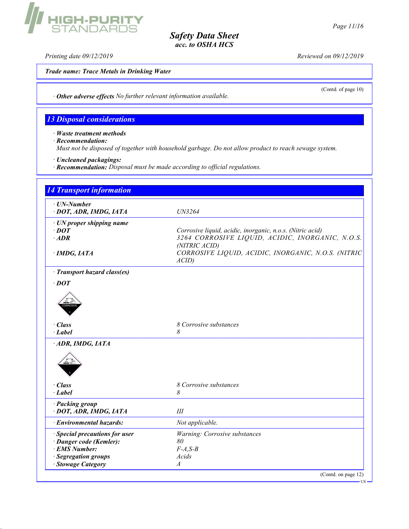Printing date 09/12/2019 Reviewed on 09/12/2019

Trade name: Trace Metals in Drinking Water

GH-PURITY<br>FANDARDS

(Contd. of page 10)

· Other adverse effects No further relevant information available.

# 13 Disposal considerations

· Waste treatment methods

· Recommendation:

Must not be disposed of together with household garbage. Do not allow product to reach sewage system.

- · Uncleaned packagings:
- · Recommendation: Disposal must be made according to official regulations.

| $\cdot$ UN-Number<br>· DOT, ADR, IMDG, IATA | UN3264                                                            |
|---------------------------------------------|-------------------------------------------------------------------|
| $\cdot$ UN proper shipping name             |                                                                   |
| $\cdot$ DOT                                 | Corrosive liquid, acidic, inorganic, n.o.s. (Nitric acid)         |
| $·$ <i>ADR</i>                              | 3264 CORROSIVE LIQUID, ACIDIC, INORGANIC, N.O.S.<br>(NITRIC ACID) |
| $\cdot$ IMDG, IATA                          | CORROSIVE LIQUID, ACIDIC, INORGANIC, N.O.S. (NITRIC<br>ACID       |
| · Transport hazard class(es)                |                                                                   |
| $\cdot$ DOT                                 |                                                                   |
|                                             |                                                                   |
| $\cdot$ Class                               | 8 Corrosive substances                                            |
| · Label                                     | 8                                                                 |
| ADR, IMDG, IATA                             |                                                                   |
| $\cdot$ Class                               | 8 Corrosive substances                                            |
| · Label                                     | 8                                                                 |
| · Packing group<br>· DOT, ADR, IMDG, IATA   | Ш                                                                 |
| · Environmental hazards:                    | Not applicable.                                                   |
| · Special precautions for user              | Warning: Corrosive substances                                     |
| · Danger code (Kemler):                     | 80                                                                |
| · EMS Number:                               | $F-A,S-B$                                                         |
| · Segregation groups                        | Acids                                                             |
| · Stowage Category                          | $\overline{A}$                                                    |

US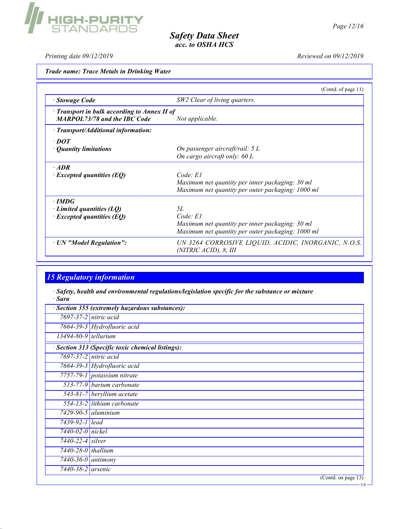

US

Safety Data Sheet acc. to OSHA HCS

Printing date 09/12/2019 Reviewed on 09/12/2019

Trade name: Trace Metals in Drinking Water

**HIGH-PURITY**<br>STANDARDS

|                                                                                     | (Contd. of page $11$ )                                                                                                 |
|-------------------------------------------------------------------------------------|------------------------------------------------------------------------------------------------------------------------|
| · Stowage Code                                                                      | SW2 Clear of living quarters.                                                                                          |
| · Transport in bulk according to Annex II of<br><b>MARPOL73/78 and the IBC Code</b> | Not applicable.                                                                                                        |
| · Transport/Additional information:                                                 |                                                                                                                        |
| $\cdot$ DOT<br>• Quantity limitations                                               | On passenger aircraft/rail: 5 L<br>On cargo aircraft only: 60 L                                                        |
| $\cdot$ ADR<br>$\cdot$ Excepted quantities (EQ)                                     | Code: El<br>Maximum net quantity per inner packaging: 30 ml<br>Maximum net quantity per outer packaging: 1000 ml       |
| $\cdot$ IMDG<br>$\cdot$ Limited quantities (LQ)<br>$\cdot$ Excepted quantities (EQ) | 5L<br>Code: El<br>Maximum net quantity per inner packaging: 30 ml<br>Maximum net quantity per outer packaging: 1000 ml |
| · UN "Model Regulation":                                                            | UN 3264 CORROSIVE LIQUID, ACIDIC, INORGANIC, N.O.S.<br>(NITRIC ACID), 8, III                                           |

# 15 Regulatory information

· Safety, health and environmental regulations/legislation specific for the substance or mixture · Sara

| · Section 355 (extremely hazardous substances): |                                                 |  |
|-------------------------------------------------|-------------------------------------------------|--|
|                                                 | $7697 - 37 - 2$ nitric acid                     |  |
|                                                 | 7664-39-3 Hydrofluoric acid                     |  |
| $13494 - 80 - 9$ tellurium                      |                                                 |  |
|                                                 | Section 313 (Specific toxic chemical listings): |  |
|                                                 | $7697 - 37 - 2$ nitric acid                     |  |
|                                                 | 7664-39-3 Hydrofluoric acid                     |  |
|                                                 | 7757-79-1 potassium nitrate                     |  |
|                                                 | $513-77-9$ barium carbonate                     |  |
|                                                 | $\sqrt{543-81-7}$ beryllium acetate             |  |
|                                                 | 554-13-2 lithium carbonate                      |  |
|                                                 | $7429 - 90 - 5$ aluminium                       |  |
| 7439-92-1 lead                                  |                                                 |  |
| $7440 - 02 - 0$ nickel                          |                                                 |  |
| 7440-22-4 silver                                |                                                 |  |
| $7440 - 28 - 0$ thallium                        |                                                 |  |
| 7440-36-0 antimony                              |                                                 |  |
| 7440-38-2 arsenic                               |                                                 |  |
|                                                 | (Contd. on page 13)                             |  |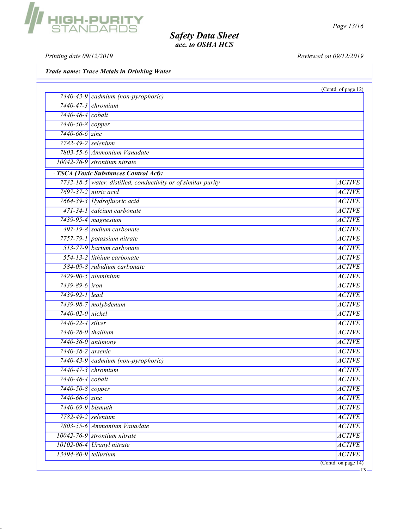Printing date 09/12/2019 Reviewed on 09/12/2019

Trade name: Trace Metals in Drinking Water

|                        | 7440-43-9 cadmium (non-pyrophoric)                                                                      | (Contd. of page 12)            |
|------------------------|---------------------------------------------------------------------------------------------------------|--------------------------------|
|                        | 7440-47-3 chromium                                                                                      |                                |
| 7440-48-4 cobalt       |                                                                                                         |                                |
| 7440-50-8 copper       |                                                                                                         |                                |
| $7440 - 66 - 6$ zinc   |                                                                                                         |                                |
|                        | 7782-49-2 selenium                                                                                      |                                |
|                        | 7803-55-6 Ammonium Vanadate                                                                             |                                |
|                        | 10042-76-9 strontium nitrate                                                                            |                                |
|                        |                                                                                                         |                                |
|                        | · TSCA (Toxic Substances Control Act):<br>7732-18-5 water, distilled, conductivity or of similar purity |                                |
|                        | 7697-37-2 nitric acid                                                                                   | <b>ACTIVE</b><br><b>ACTIVE</b> |
|                        |                                                                                                         |                                |
|                        | 7664-39-3 Hydrofluoric acid<br>471-34-1 calcium carbonate                                               | <b>ACTIVE</b>                  |
|                        |                                                                                                         | <b>ACTIVE</b>                  |
|                        | 7439-95-4 magnesium                                                                                     | <b>ACTIVE</b>                  |
|                        | 497-19-8 sodium carbonate                                                                               | <b>ACTIVE</b>                  |
|                        | 7757-79-1 potassium nitrate                                                                             | <b>ACTIVE</b>                  |
|                        | 513-77-9 barium carbonate                                                                               | <b>ACTIVE</b>                  |
|                        | 554-13-2 lithium carbonate                                                                              | <b>ACTIVE</b>                  |
|                        | 584-09-8 rubidium carbonate                                                                             | <b>ACTIVE</b>                  |
|                        | $7429 - 90 - 5$ aluminium                                                                               | <b>ACTIVE</b>                  |
| 7439-89-6 <i>iron</i>  |                                                                                                         | <b>ACTIVE</b>                  |
| 7439-92-1 lead         |                                                                                                         | <b>ACTIVE</b>                  |
|                        | 7439-98-7 molybdenum                                                                                    | <b>ACTIVE</b>                  |
| 7440-02-0 nickel       |                                                                                                         | <b>ACTIVE</b>                  |
| 7440-22-4 silver       |                                                                                                         | <b>ACTIVE</b>                  |
| 7440-28-0 thallium     |                                                                                                         | <b>ACTIVE</b>                  |
|                        | $7440 - 36 - 0$ antimony                                                                                | <b>ACTIVE</b>                  |
| 7440-38-2 arsenic      |                                                                                                         | <b>ACTIVE</b>                  |
|                        | 7440-43-9 cadmium (non-pyrophoric)                                                                      | <b>ACTIVE</b>                  |
|                        | $7440 - 47 - 3$ chromium                                                                                | <b>ACTIVE</b>                  |
| 7440-48-4 cobalt       |                                                                                                         | <b>ACTIVE</b>                  |
| $7440 - 50 - 8$ copper |                                                                                                         | <b>ACTIVE</b>                  |
| $7440 - 66 - 6$ zinc   |                                                                                                         | <b>ACTIVE</b>                  |
| 7440-69-9 bismuth      |                                                                                                         | <b>ACTIVE</b>                  |
|                        | 7782-49-2 selenium                                                                                      | <b>ACTIVE</b>                  |
|                        | 7803-55-6 Ammonium Vanadate                                                                             | <b>ACTIVE</b>                  |
|                        | $10042 - 76 - 9$ strontium nitrate                                                                      | <b>ACTIVE</b>                  |
|                        | 10102-06-4 Uranyl nitrate                                                                               | <b>ACTIVE</b>                  |
| 13494-80-9 tellurium   |                                                                                                         | <b>ACTIVE</b>                  |



US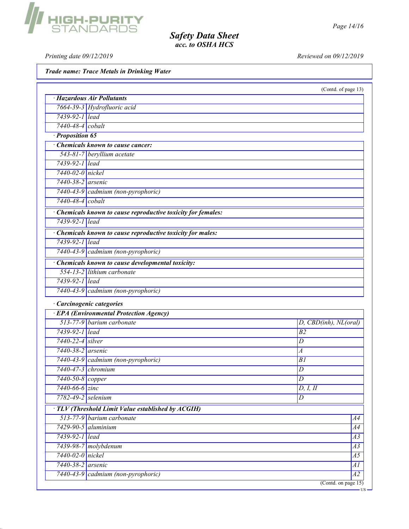Printing date 09/12/2019 Reviewed on 09/12/2019

HIGH-PURITY<br>Standards

|                      | Trade name: Trace Metals in Drinking Water                    |                       |
|----------------------|---------------------------------------------------------------|-----------------------|
|                      |                                                               | (Contd. of page 13)   |
|                      | · Hazardous Air Pollutants                                    |                       |
|                      | 7664-39-3 Hydrofluoric acid                                   |                       |
| 7439-92-1 lead       |                                                               |                       |
| 7440-48-4 cobalt     |                                                               |                       |
| · Proposition 65     |                                                               |                       |
|                      | Chemicals known to cause cancer:                              |                       |
|                      | 543-81-7 beryllium acetate                                    |                       |
| 7439-92-1 lead       |                                                               |                       |
| 7440-02-0 nickel     |                                                               |                       |
| 7440-38-2 arsenic    |                                                               |                       |
|                      | 7440-43-9 cadmium (non-pyrophoric)                            |                       |
| 7440-48-4 cobalt     |                                                               |                       |
|                      | · Chemicals known to cause reproductive toxicity for females: |                       |
| 7439-92-1 lead       |                                                               |                       |
|                      | · Chemicals known to cause reproductive toxicity for males:   |                       |
| 7439-92-1 lead       |                                                               |                       |
|                      | 7440-43-9 cadmium (non-pyrophoric)                            |                       |
|                      | Chemicals known to cause developmental toxicity:              |                       |
|                      | 554-13-2 lithium carbonate                                    |                       |
| 7439-92-1 lead       |                                                               |                       |
|                      | 7440-43-9 cadmium (non-pyrophoric)                            |                       |
|                      | · Carcinogenic categories                                     |                       |
|                      | <b>EPA</b> (Environmental Protection Agency)                  |                       |
|                      | 513-77-9 barium carbonate                                     | D, CBD(inh), NL(oral) |
| 7439-92-1 lead       |                                                               | B <sub>2</sub>        |
| 7440-22-4 silver     |                                                               | D                     |
| 7440-38-2 arsenic    |                                                               | $\boldsymbol{A}$      |
|                      | 7440-43-9 cadmium (non-pyrophoric)                            | B1                    |
| 7440-47-3 chromium   |                                                               | D                     |
| 7440-50-8 copper     |                                                               | D                     |
| $7440 - 66 - 6$ zinc |                                                               | D, I, II              |
| 7782-49-2 selenium   |                                                               | D                     |
|                      | $\cdot$ TLV (Threshold Limit Value established by ACGIH)      |                       |

 $513-77-9$  barium carbonate  $A4$ 7429-90-5 aluminium A4 7439-92-1 lead A3 7439-98-7 molybdenum A3 7440-02-0 nickel A5 7440-38-2 arsenic A1 7440-43-9 cadmium (non-pyrophoric) A2 (Contd. on page 15)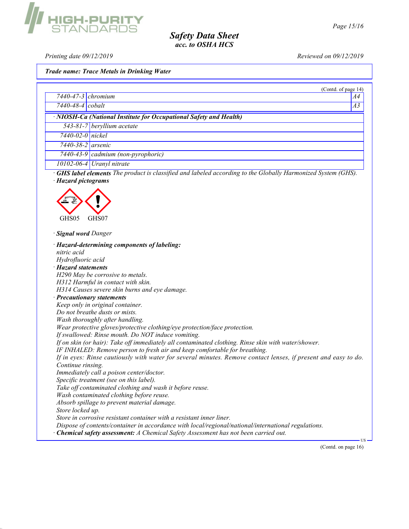Printing date 09/12/2019 Reviewed on 09/12/2019

Trade name: Trace Metals in Drinking Water

|                                                                                                                    | (Contd. of page 14) |
|--------------------------------------------------------------------------------------------------------------------|---------------------|
| $7440 - 47 - 3$ chromium                                                                                           | A4                  |
| 7440-48-4 cobalt                                                                                                   | A3                  |
| · NIOSH-Ca (National Institute for Occupational Safety and Health)                                                 |                     |
| 543-81-7 beryllium acetate                                                                                         |                     |
| $7440-02-0$ nickel                                                                                                 |                     |
| 7440-38-2 arsenic                                                                                                  |                     |
| 7440-43-9 cadmium (non-pyrophoric)                                                                                 |                     |
| $10102 - 06 - 4$ Uranyl nitrate                                                                                    |                     |
| <b>GHS label elements</b> The product is classified and labeled according to the Globally Harmonized System (GHS). |                     |
| · Hazard pictograms                                                                                                |                     |
|                                                                                                                    |                     |
|                                                                                                                    |                     |
|                                                                                                                    |                     |
| GHS05<br>GHS07                                                                                                     |                     |
|                                                                                                                    |                     |
| · Signal word Danger                                                                                               |                     |
| · Hazard-determining components of labeling:                                                                       |                     |
| nitric acid                                                                                                        |                     |
| Hydrofluoric acid                                                                                                  |                     |
| · Hazard statements                                                                                                |                     |
| H290 May be corrosive to metals.                                                                                   |                     |
| H312 Harmful in contact with skin.                                                                                 |                     |
| H314 Causes severe skin burns and eye damage.                                                                      |                     |
| · Precautionary statements                                                                                         |                     |
| Keep only in original container.                                                                                   |                     |
| Do not breathe dusts or mists.                                                                                     |                     |
| Wash thoroughly after handling.                                                                                    |                     |
| Wear protective gloves/protective clothing/eye protection/face protection.                                         |                     |
| If swallowed: Rinse mouth. Do NOT induce vomiting.                                                                 |                     |
| If on skin (or hair): Take off immediately all contaminated clothing. Rinse skin with water/shower.                |                     |
| IF INHALED: Remove person to fresh air and keep comfortable for breathing.                                         |                     |
| If in eyes: Rinse cautiously with water for several minutes. Remove contact lenses, if present and easy to do.     |                     |
| Continue rinsing.                                                                                                  |                     |
| Immediately call a poison center/doctor.                                                                           |                     |
| Specific treatment (see on this label).<br>Take off contaminated clothing and wash it before reuse.                |                     |
|                                                                                                                    |                     |
| Wash contaminated clothing before reuse.<br>Absorb spillage to prevent material damage.                            |                     |
|                                                                                                                    |                     |
| Store locked up.<br>Store in corrosive resistant container with a resistant inner liner.                           |                     |
| Dispose of contents/container in accordance with local/regional/national/international regulations.                |                     |
|                                                                                                                    |                     |
| · Chemical safety assessment: A Chemical Safety Assessment has not been carried out.                               |                     |
|                                                                                                                    | (Contd. on page 16) |